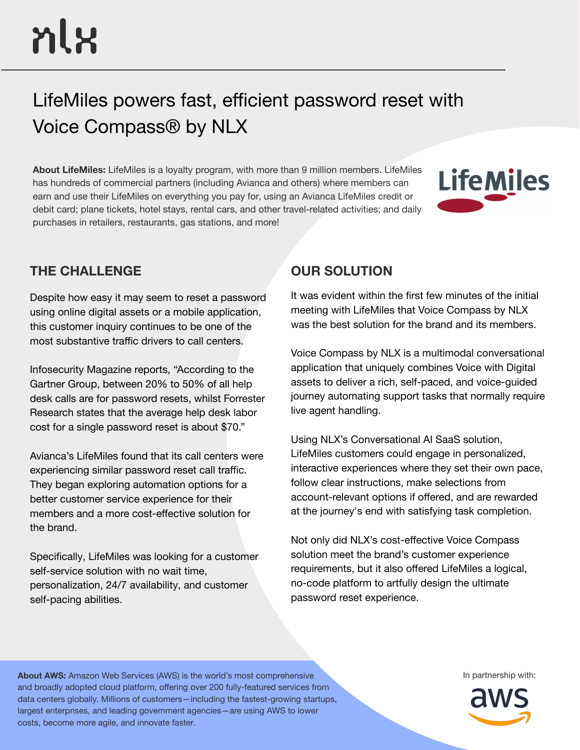# LifeMiles powers fast, efficient password reset with Voice Compass® by NLX

**About LifeMiles:** LifeMiles is a loyalty program, with more than 9 million members. LifeMiles has hundreds of commercial partners (including Avianca and others) where members can earn and use their LifeMiles on everything you pay for, using an Avianca LifeMiles credit or debit card; plane tickets, hotel stays, rental cars, and other travel-related activities; and daily purchases in retailers, restaurants, gas stations, and more!



# **THE CHALLENGE OUR SOLUTION**

Despite how easy it may seem to reset a password using online digital assets or a mobile application, this customer inquiry continues to be one of the most substantive traffic drivers to call centers.

Infosecurity Magazine reports, "According to the Gartner Group, between 20% to 50% of all help desk calls are for password resets, whilst Forrester Research states that the average help desk labor cost for a single password reset is about \$70."

Avianca's LifeMiles found that its call centers were experiencing similar password reset call traffic. They began exploring automation options for a better customer service experience for their members and a more cost-effective solution for the brand.

Specifically, LifeMiles was looking for a customer self-service solution with no wait time, personalization, 24/7 availability, and customer self-pacing abilities.

It was evident within the first few minutes of the initial meeting with LifeMiles that Voice Compass by NLX was the best solution for the brand and its members.

Voice Compass by NLX is a multimodal conversational application that uniquely combines Voice with Digital assets to deliver a rich, self-paced, and voice-guided journey automating support tasks that normally require live agent handling.

Using NLX's Conversational AI SaaS solution, LifeMiles customers could engage in personalized, interactive experiences where they set their own pace, follow clear instructions, make selections from account-relevant options if offered, and are rewarded at the journey's end with satisfying task completion.

Not only did NLX's cost-effective Voice Compass solution meet the brand's customer experience requirements, but it also offered LifeMiles a logical, no-code platform to artfully design the ultimate password reset experience.

**About AWS:** Amazon Web Services (AWS) is the world's most comprehensive **In the act of the COV** In partnership with: and broadly adopted cloud platform, offering over 200 fully-featured services from data centers globally. Millions of customers—including the fastest-growing startups, largest enterprises, and leading government agencies—are using AWS to lower costs, become more agile, and innovate faster.

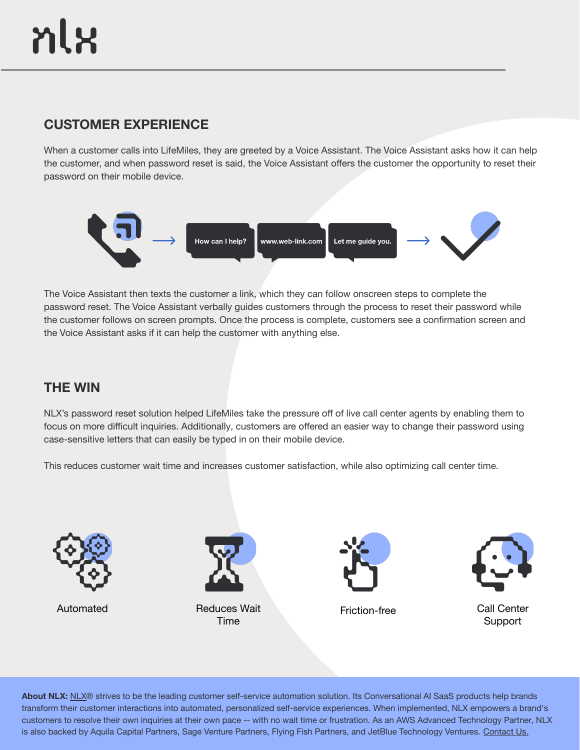# **CUSTOMER EXPERIENCE**

When a customer calls into LifeMiles, they are greeted by a Voice Assistant. The Voice Assistant asks how it can help the customer, and when password reset is said, the Voice Assistant offers the customer the opportunity to reset their password on their mobile device.



The Voice Assistant then texts the customer a link, which they can follow onscreen steps to complete the password reset. The Voice Assistant verbally guides customers through the process to reset their password while the customer follows on screen prompts. Once the process is complete, customers see a confirmation screen and the Voice Assistant asks if it can help the customer with anything else.

### **THE WIN**

NLX's password reset solution helped LifeMiles take the pressure off of live call center agents by enabling them to focus on more difficult inquiries. Additionally, customers are offered an easier way to change their password using case-sensitive letters that can easily be typed in on their mobile device.

This reduces customer wait time and increases customer satisfaction, while also optimizing call center time.





Reduces Wait Time Automated **Friction-free** Call Center





Support

About [NLX](https://nlx.ai/): NLX® strives to be the leading customer self-service automation solution. Its Conversational AI SaaS products help brands transform their customer interactions into automated, personalized self-service experiences. When implemented, NLX empowers a brand's customers to resolve their own inquiries at their own pace -- with no wait time or frustration. As an AWS Advanced Technology Partner, NLX is also backed by Aquila Capital Partners, Sage Venture Partners, Flying Fish Partners, and JetBlue Technology Ventures. [Contact Us.](https://nlx.ai/contact)